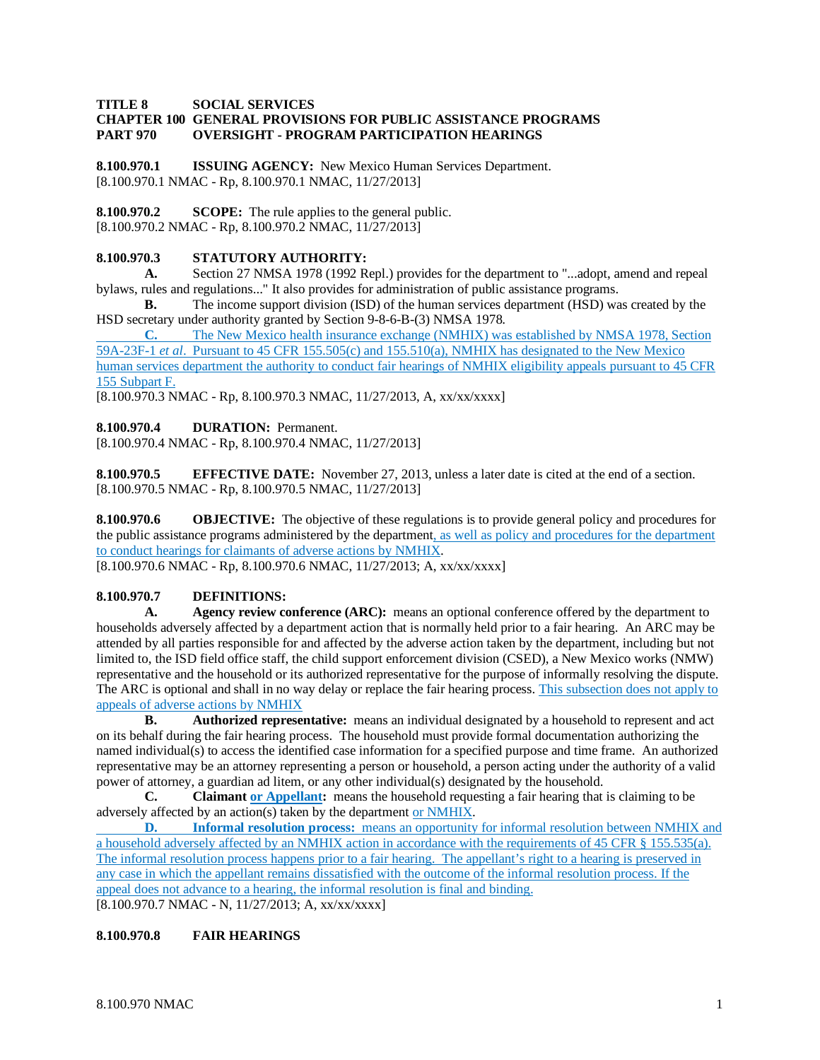#### **TITLE 8 SOCIAL SERVICES**

#### **CHAPTER 100 GENERAL PROVISIONS FOR PUBLIC ASSISTANCE PROGRAMS PART 970 OVERSIGHT - PROGRAM PARTICIPATION HEARINGS**

**8.100.970.1 ISSUING AGENCY:** New Mexico Human Services Department. [8.100.970.1 NMAC - Rp, 8.100.970.1 NMAC, 11/27/2013]

**8.100.970.2 SCOPE:** The rule applies to the general public. [8.100.970.2 NMAC - Rp, 8.100.970.2 NMAC, 11/27/2013]

#### **8.100.970.3 STATUTORY AUTHORITY:**

**A.** Section 27 NMSA 1978 (1992 Repl.) provides for the department to "...adopt, amend and repeal bylaws, rules and regulations..." It also provides for administration of public assistance programs.

**B.** The income support division (ISD) of the human services department (HSD) was created by the HSD secretary under authority granted by Section 9-8-6-B-(3) NMSA 1978.

**C.** The New Mexico health insurance exchange (NMHIX) was established by NMSA 1978, Section 59A-23F-1 *et al*. Pursuant to 45 CFR 155.505(c) and 155.510(a), NMHIX has designated to the New Mexico human services department the authority to conduct fair hearings of NMHIX eligibility appeals pursuant to 45 CFR 155 Subpart F.

[8.100.970.3 NMAC - Rp, 8.100.970.3 NMAC, 11/27/2013, A, xx/xx/xxxx]

**8.100.970.4 DURATION:** Permanent.

[8.100.970.4 NMAC - Rp, 8.100.970.4 NMAC, 11/27/2013]

**8.100.970.5 EFFECTIVE DATE:** November 27, 2013, unless a later date is cited at the end of a section. [8.100.970.5 NMAC - Rp, 8.100.970.5 NMAC, 11/27/2013]

**8.100.970.6 OBJECTIVE:** The objective of these regulations is to provide general policy and procedures for the public assistance programs administered by the department, as well as policy and procedures for the department to conduct hearings for claimants of adverse actions by NMHIX.

[8.100.970.6 NMAC - Rp, 8.100.970.6 NMAC, 11/27/2013; A, xx/xx/xxxx]

### **8.100.970.7 DEFINITIONS:**

**A. Agency review conference (ARC):** means an optional conference offered by the department to households adversely affected by a department action that is normally held prior to a fair hearing. An ARC may be attended by all parties responsible for and affected by the adverse action taken by the department, including but not limited to, the ISD field office staff, the child support enforcement division (CSED), a New Mexico works (NMW) representative and the household or its authorized representative for the purpose of informally resolving the dispute. The ARC is optional and shall in no way delay or replace the fair hearing process. This subsection does not apply to appeals of adverse actions by NMHIX

**B. Authorized representative:** means an individual designated by a household to represent and act on its behalf during the fair hearing process. The household must provide formal documentation authorizing the named individual(s) to access the identified case information for a specified purpose and time frame. An authorized representative may be an attorney representing a person or household, a person acting under the authority of a valid power of attorney, a guardian ad litem, or any other individual(s) designated by the household.

**C. Claimant or Appellant:** means the household requesting a fair hearing that is claiming to be adversely affected by an action(s) taken by the department or NMHIX.

**D. Informal resolution process:** means an opportunity for informal resolution between NMHIX and a household adversely affected by an NMHIX action in accordance with the requirements of 45 CFR § 155.535(a). The informal resolution process happens prior to a fair hearing. The appellant's right to a hearing is preserved in any case in which the appellant remains dissatisfied with the outcome of the informal resolution process. If the appeal does not advance to a hearing, the informal resolution is final and binding.

[8.100.970.7 NMAC - N, 11/27/2013; A, xx/xx/xxxx]

# **8.100.970.8 FAIR HEARINGS**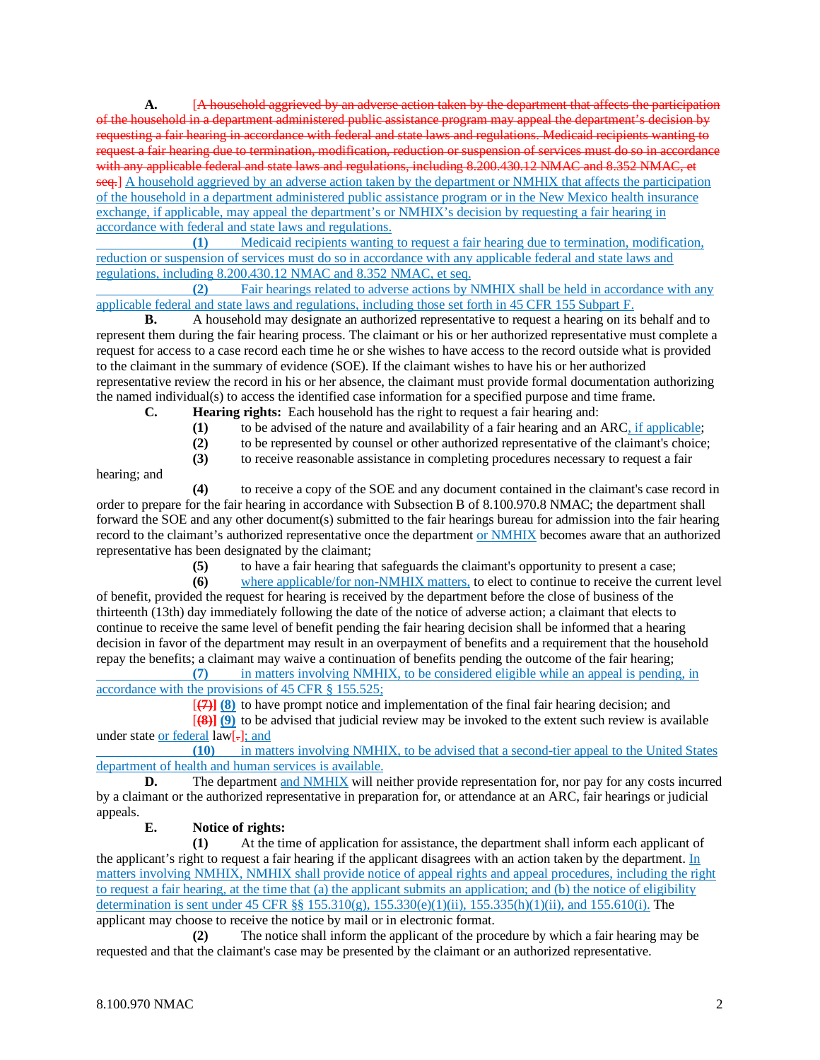**A.** [A household aggrieved by an adverse action taken by the department that affects the participation of the household in a department administered public assistance program may appeal the department's decision by requesting a fair hearing in accordance with federal and state laws and regulations. Medicaid recipients wanting to request a fair hearing due to termination, modification, reduction or suspension of services must do so in accordance with any applicable federal and state laws and regulations, including 8.200.430.12 NMAC and 8.352 NMAC, et seq.] A household aggrieved by an adverse action taken by the department or NMHIX that affects the participation of the household in a department administered public assistance program or in the New Mexico health insurance exchange, if applicable, may appeal the department's or NMHIX's decision by requesting a fair hearing in accordance with federal and state laws and regulations.

**(1)** Medicaid recipients wanting to request a fair hearing due to termination, modification, reduction or suspension of services must do so in accordance with any applicable federal and state laws and regulations, including 8.200.430.12 NMAC and 8.352 NMAC, et seq.

**(2)** Fair hearings related to adverse actions by NMHIX shall be held in accordance with any applicable federal and state laws and regulations, including those set forth in 45 CFR 155 Subpart F.

**B.** A household may designate an authorized representative to request a hearing on its behalf and to represent them during the fair hearing process. The claimant or his or her authorized representative must complete a request for access to a case record each time he or she wishes to have access to the record outside what is provided to the claimant in the summary of evidence (SOE). If the claimant wishes to have his or her authorized representative review the record in his or her absence, the claimant must provide formal documentation authorizing the named individual(s) to access the identified case information for a specified purpose and time frame.

**C. Hearing rights:** Each household has the right to request a fair hearing and:

**(1)** to be advised of the nature and availability of a fair hearing and an ARC, if applicable;

(2) to be represented by counsel or other authorized representative of the claimant's choice;<br>(3) to receive reasonable assistance in completing procedures necessary to request a fair

**(3)** to receive reasonable assistance in completing procedures necessary to request a fair

hearing; and

**(4)** to receive a copy of the SOE and any document contained in the claimant's case record in order to prepare for the fair hearing in accordance with Subsection B of 8.100.970.8 NMAC; the department shall forward the SOE and any other document(s) submitted to the fair hearings bureau for admission into the fair hearing record to the claimant's authorized representative once the department or NMHIX becomes aware that an authorized representative has been designated by the claimant;

**(5)** to have a fair hearing that safeguards the claimant's opportunity to present a case;

**(6)** where applicable/for non-NMHIX matters, to elect to continue to receive the current level of benefit, provided the request for hearing is received by the department before the close of business of the thirteenth (13th) day immediately following the date of the notice of adverse action; a claimant that elects to continue to receive the same level of benefit pending the fair hearing decision shall be informed that a hearing decision in favor of the department may result in an overpayment of benefits and a requirement that the household repay the benefits; a claimant may waive a continuation of benefits pending the outcome of the fair hearing;

**(7)** in matters involving NMHIX, to be considered eligible while an appeal is pending, in accordance with the provisions of 45 CFR § 155.525;

[**(7)] (8)** to have prompt notice and implementation of the final fair hearing decision; and

[**(8)] (9)** to be advised that judicial review may be invoked to the extent such review is available under state or federal law[-]; and

**(10)** in matters involving NMHIX, to be advised that a second-tier appeal to the United States department of health and human services is available.

**D.** The department and NMHIX will neither provide representation for, nor pay for any costs incurred by a claimant or the authorized representative in preparation for, or attendance at an ARC, fair hearings or judicial appeals.

# **E. Notice of rights:**

**(1)** At the time of application for assistance, the department shall inform each applicant of the applicant's right to request a fair hearing if the applicant disagrees with an action taken by the department. In matters involving NMHIX, NMHIX shall provide notice of appeal rights and appeal procedures, including the right to request a fair hearing, at the time that (a) the applicant submits an application; and (b) the notice of eligibility determination is sent under 45 CFR [§§ 155.310\(g\),](https://www.law.cornell.edu/cfr/text/45/155.310#g) 155.330(e)(1)(ii), 155.335(h)(1)(ii), and 155.610(i). The applicant may choose to receive the notice by mail or in electronic format.

**(2)** The notice shall inform the applicant of the procedure by which a fair hearing may be requested and that the claimant's case may be presented by the claimant or an authorized representative.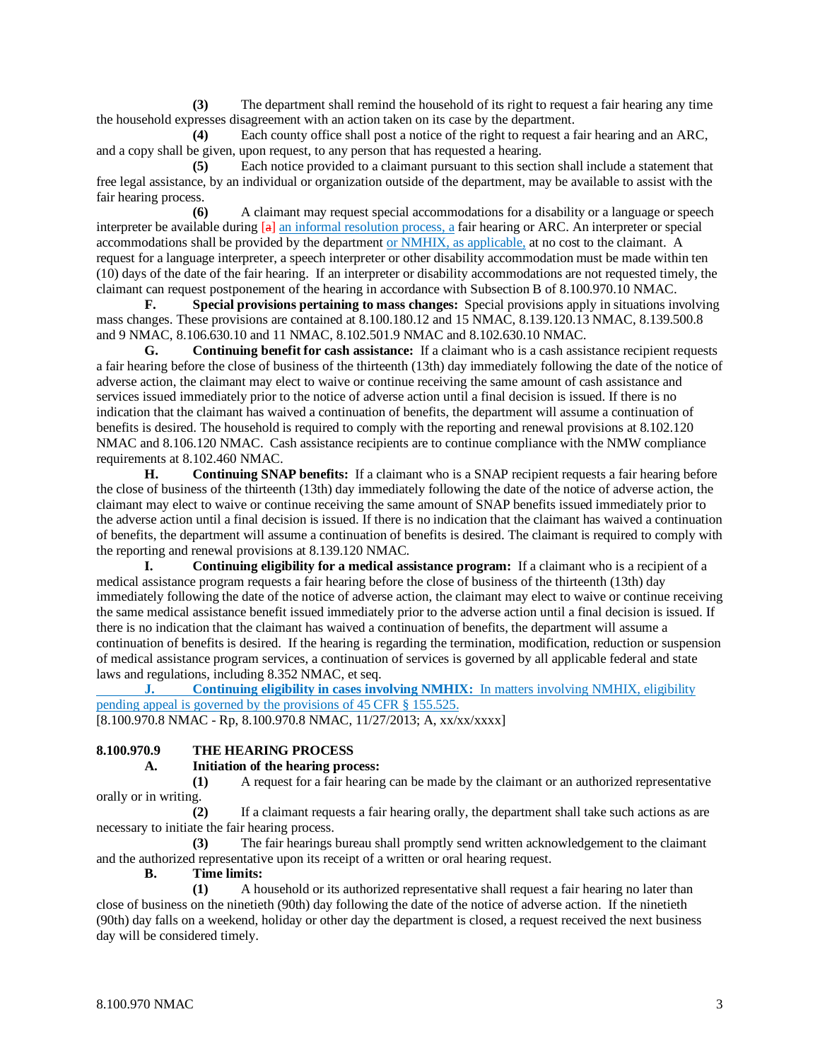**(3)** The department shall remind the household of its right to request a fair hearing any time the household expresses disagreement with an action taken on its case by the department.

**(4)** Each county office shall post a notice of the right to request a fair hearing and an ARC, and a copy shall be given, upon request, to any person that has requested a hearing.

**(5)** Each notice provided to a claimant pursuant to this section shall include a statement that free legal assistance, by an individual or organization outside of the department, may be available to assist with the fair hearing process.

**(6)** A claimant may request special accommodations for a disability or a language or speech interpreter be available during [a] an informal resolution process, a fair hearing or ARC. An interpreter or special accommodations shall be provided by the department or NMHIX, as applicable, at no cost to the claimant. A request for a language interpreter, a speech interpreter or other disability accommodation must be made within ten (10) days of the date of the fair hearing. If an interpreter or disability accommodations are not requested timely, the claimant can request postponement of the hearing in accordance with Subsection B of 8.100.970.10 NMAC.

**F. Special provisions pertaining to mass changes:** Special provisions apply in situations involving mass changes. These provisions are contained at 8.100.180.12 and 15 NMAC, 8.139.120.13 NMAC, 8.139.500.8 and 9 NMAC, 8.106.630.10 and 11 NMAC, 8.102.501.9 NMAC and 8.102.630.10 NMAC.

**G. Continuing benefit for cash assistance:** If a claimant who is a cash assistance recipient requests a fair hearing before the close of business of the thirteenth (13th) day immediately following the date of the notice of adverse action, the claimant may elect to waive or continue receiving the same amount of cash assistance and services issued immediately prior to the notice of adverse action until a final decision is issued. If there is no indication that the claimant has waived a continuation of benefits, the department will assume a continuation of benefits is desired. The household is required to comply with the reporting and renewal provisions at 8.102.120 NMAC and 8.106.120 NMAC. Cash assistance recipients are to continue compliance with the NMW compliance requirements at 8.102.460 NMAC.

**H. Continuing SNAP benefits:** If a claimant who is a SNAP recipient requests a fair hearing before the close of business of the thirteenth (13th) day immediately following the date of the notice of adverse action, the claimant may elect to waive or continue receiving the same amount of SNAP benefits issued immediately prior to the adverse action until a final decision is issued. If there is no indication that the claimant has waived a continuation of benefits, the department will assume a continuation of benefits is desired. The claimant is required to comply with the reporting and renewal provisions at 8.139.120 NMAC.

**I. Continuing eligibility for a medical assistance program:** If a claimant who is a recipient of a medical assistance program requests a fair hearing before the close of business of the thirteenth (13th) day immediately following the date of the notice of adverse action, the claimant may elect to waive or continue receiving the same medical assistance benefit issued immediately prior to the adverse action until a final decision is issued. If there is no indication that the claimant has waived a continuation of benefits, the department will assume a continuation of benefits is desired. If the hearing is regarding the termination, modification, reduction or suspension of medical assistance program services, a continuation of services is governed by all applicable federal and state laws and regulations, including 8.352 NMAC, et seq.

**J. Continuing eligibility in cases involving NMHIX:** In matters involving NMHIX, eligibility pending appeal is governed by the provisions of 45 CFR § 155.525.

[8.100.970.8 NMAC - Rp, 8.100.970.8 NMAC, 11/27/2013; A, xx/xx/xxxx]

# **8.100.970.9 THE HEARING PROCESS**

#### **A. Initiation of the hearing process:**

**(1)** A request for a fair hearing can be made by the claimant or an authorized representative orally or in writing.

**(2)** If a claimant requests a fair hearing orally, the department shall take such actions as are necessary to initiate the fair hearing process.

**(3)** The fair hearings bureau shall promptly send written acknowledgement to the claimant and the authorized representative upon its receipt of a written or oral hearing request.

**B. Time limits:**

**(1)** A household or its authorized representative shall request a fair hearing no later than close of business on the ninetieth (90th) day following the date of the notice of adverse action. If the ninetieth (90th) day falls on a weekend, holiday or other day the department is closed, a request received the next business day will be considered timely.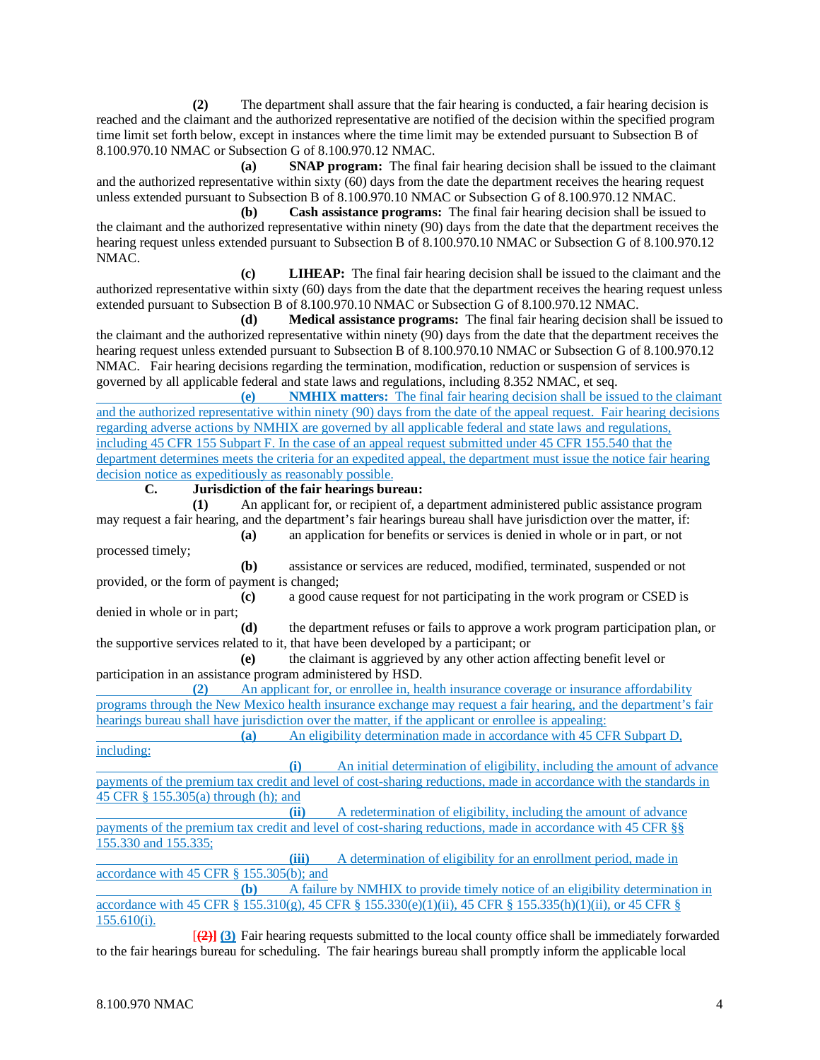**(2)** The department shall assure that the fair hearing is conducted, a fair hearing decision is reached and the claimant and the authorized representative are notified of the decision within the specified program time limit set forth below, except in instances where the time limit may be extended pursuant to Subsection B of 8.100.970.10 NMAC or Subsection G of 8.100.970.12 NMAC.

**(a) SNAP program:** The final fair hearing decision shall be issued to the claimant and the authorized representative within sixty (60) days from the date the department receives the hearing request unless extended pursuant to Subsection B of 8.100.970.10 NMAC or Subsection G of 8.100.970.12 NMAC.

**(b) Cash assistance programs:** The final fair hearing decision shall be issued to the claimant and the authorized representative within ninety (90) days from the date that the department receives the hearing request unless extended pursuant to Subsection B of 8.100.970.10 NMAC or Subsection G of 8.100.970.12 NMAC.

**(c) LIHEAP:** The final fair hearing decision shall be issued to the claimant and the authorized representative within sixty (60) days from the date that the department receives the hearing request unless extended pursuant to Subsection B of 8.100.970.10 NMAC or Subsection G of 8.100.970.12 NMAC.

**(d) Medical assistance programs:** The final fair hearing decision shall be issued to the claimant and the authorized representative within ninety (90) days from the date that the department receives the hearing request unless extended pursuant to Subsection B of 8.100.970.10 NMAC or Subsection G of 8.100.970.12 NMAC. Fair hearing decisions regarding the termination, modification, reduction or suspension of services is governed by all applicable federal and state laws and regulations, including 8.352 NMAC, et seq.

**(e) NMHIX matters:** The final fair hearing decision shall be issued to the claimant and the authorized representative within ninety (90) days from the date of the appeal request. Fair hearing decisions regarding adverse actions by NMHIX are governed by all applicable federal and state laws and regulations, including 45 CFR 155 Subpart F. In the case of an appeal request submitted under 45 CFR 155.540 that the department determines meets the criteria for an expedited appeal, the department must issue the notice fair hearing decision notice as expeditiously as reasonably possible.

**C. Jurisdiction of the fair hearings bureau:**

**(1)** An applicant for, or recipient of, a department administered public assistance program may request a fair hearing, and the department's fair hearings bureau shall have jurisdiction over the matter, if:

**(a)** an application for benefits or services is denied in whole or in part, or not processed timely;

**(b)** assistance or services are reduced, modified, terminated, suspended or not provided, or the form of payment is changed;

**(c)** a good cause request for not participating in the work program or CSED is denied in whole or in part;

**(d)** the department refuses or fails to approve a work program participation plan, or the supportive services related to it, that have been developed by a participant; or

**(e)** the claimant is aggrieved by any other action affecting benefit level or participation in an assistance program administered by HSD.

**(2)** An applicant for, or enrollee in, health insurance coverage or insurance affordability programs through the New Mexico health insurance exchange may request a fair hearing, and the department's fair hearings bureau shall have jurisdiction over the matter, if the applicant or enrollee is appealing:

**(a)** An eligibility determination made in accordance with 45 CFR Subpart D, including:

**(i)** An initial determination of eligibility, including the amount of advance payments of the premium tax credit and level of cost-sharing reductions, made in accordance with the standards in 45 CFR  $\S$  155.305(a) through (h); and

**(ii)** A redetermination of eligibility, including the amount of advance payments of the premium tax credit and level of cost-sharing reductions, made in accordance with 45 CFR §§ 155.330 and 155.335;

**(iii)** A determination of eligibility for an enrollment period, made in accordance with 45 CFR § 155.305(b); and

**(b)** A failure by NMHIX to provide timely notice of an eligibility determination in accordance with 45 CFR § 155.310(g), 45 CFR § 155.330(e)(1)(ii), 45 CFR § 155.335(h)(1)(ii), or 45 CFR § 155.610(i).

[**(2)] (3)** Fair hearing requests submitted to the local county office shall be immediately forwarded to the fair hearings bureau for scheduling. The fair hearings bureau shall promptly inform the applicable local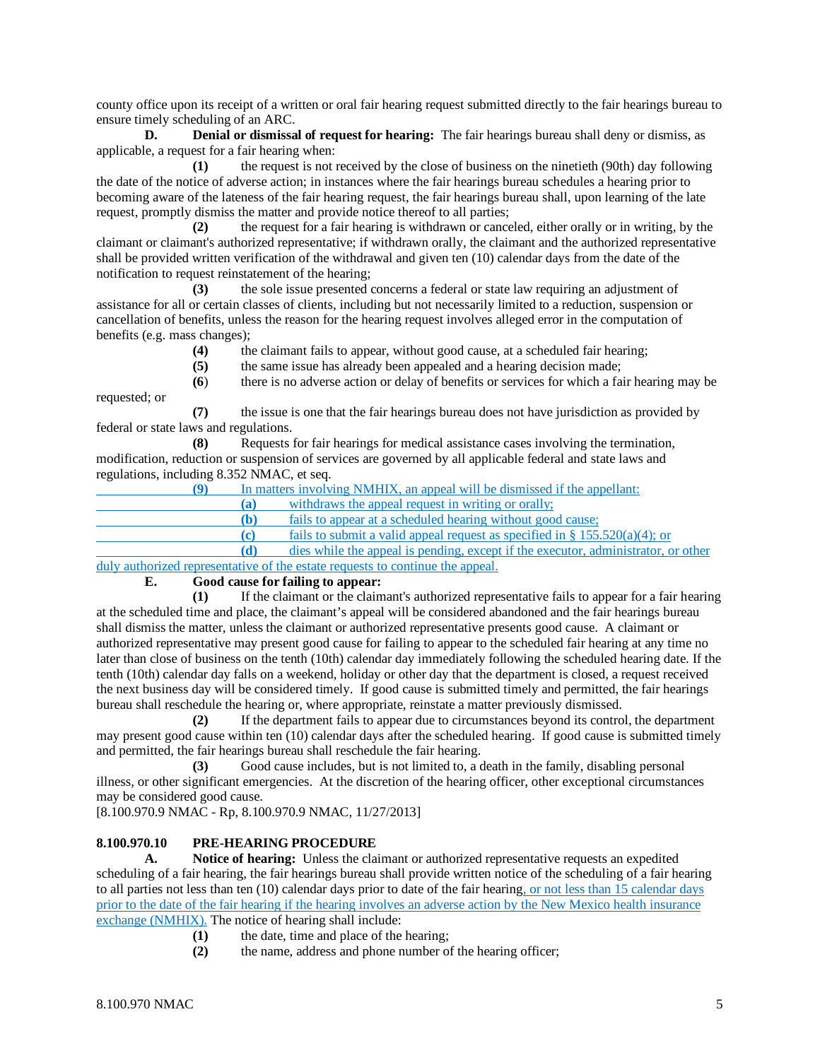county office upon its receipt of a written or oral fair hearing request submitted directly to the fair hearings bureau to ensure timely scheduling of an ARC.

**D. Denial or dismissal of request for hearing:** The fair hearings bureau shall deny or dismiss, as applicable, a request for a fair hearing when:

**(1)** the request is not received by the close of business on the ninetieth (90th) day following the date of the notice of adverse action; in instances where the fair hearings bureau schedules a hearing prior to becoming aware of the lateness of the fair hearing request, the fair hearings bureau shall, upon learning of the late request, promptly dismiss the matter and provide notice thereof to all parties;

**(2)** the request for a fair hearing is withdrawn or canceled, either orally or in writing, by the claimant or claimant's authorized representative; if withdrawn orally, the claimant and the authorized representative shall be provided written verification of the withdrawal and given ten (10) calendar days from the date of the notification to request reinstatement of the hearing;

**(3)** the sole issue presented concerns a federal or state law requiring an adjustment of assistance for all or certain classes of clients, including but not necessarily limited to a reduction, suspension or cancellation of benefits, unless the reason for the hearing request involves alleged error in the computation of benefits (e.g. mass changes);

- **(4)** the claimant fails to appear, without good cause, at a scheduled fair hearing;
- **(5)** the same issue has already been appealed and a hearing decision made;

**(6**) there is no adverse action or delay of benefits or services for which a fair hearing may be requested; or

**(7)** the issue is one that the fair hearings bureau does not have jurisdiction as provided by federal or state laws and regulations.

**(8)** Requests for fair hearings for medical assistance cases involving the termination, modification, reduction or suspension of services are governed by all applicable federal and state laws and regulations, including 8.352 NMAC, et seq.

**(9)** In matters involving NMHIX, an appeal will be dismissed if the appellant:

**(a)** withdraws the appeal request in writing or orally;

**(b)** fails to appear at a scheduled hearing without good cause;

**(c)** fails to submit a valid appeal request as specified in § 155.520(a)(4); or

**(d)** dies while the appeal is pending, except if the executor, administrator, or other duly authorized representative of the estate requests to continue the appeal.<br> **E.** Good cause for failing to appear:

## **E. Good cause for failing to appear:**

**(1)** If the claimant or the claimant's authorized representative fails to appear for a fair hearing at the scheduled time and place, the claimant's appeal will be considered abandoned and the fair hearings bureau shall dismiss the matter, unless the claimant or authorized representative presents good cause. A claimant or authorized representative may present good cause for failing to appear to the scheduled fair hearing at any time no later than close of business on the tenth (10th) calendar day immediately following the scheduled hearing date. If the tenth (10th) calendar day falls on a weekend, holiday or other day that the department is closed, a request received the next business day will be considered timely. If good cause is submitted timely and permitted, the fair hearings bureau shall reschedule the hearing or, where appropriate, reinstate a matter previously dismissed.

**(2)** If the department fails to appear due to circumstances beyond its control, the department may present good cause within ten (10) calendar days after the scheduled hearing. If good cause is submitted timely and permitted, the fair hearings bureau shall reschedule the fair hearing.

**(3)** Good cause includes, but is not limited to, a death in the family, disabling personal illness, or other significant emergencies. At the discretion of the hearing officer, other exceptional circumstances may be considered good cause.

[8.100.970.9 NMAC - Rp, 8.100.970.9 NMAC, 11/27/2013]

# **8.100.970.10 PRE-HEARING PROCEDURE**

**A. Notice of hearing:** Unless the claimant or authorized representative requests an expedited scheduling of a fair hearing, the fair hearings bureau shall provide written notice of the scheduling of a fair hearing to all parties not less than ten (10) calendar days prior to date of the fair hearing, or not less than 15 calendar days prior to the date of the fair hearing if the hearing involves an adverse action by the New Mexico health insurance exchange (NMHIX). The notice of hearing shall include:

- **(1)** the date, time and place of the hearing;
- **(2)** the name, address and phone number of the hearing officer;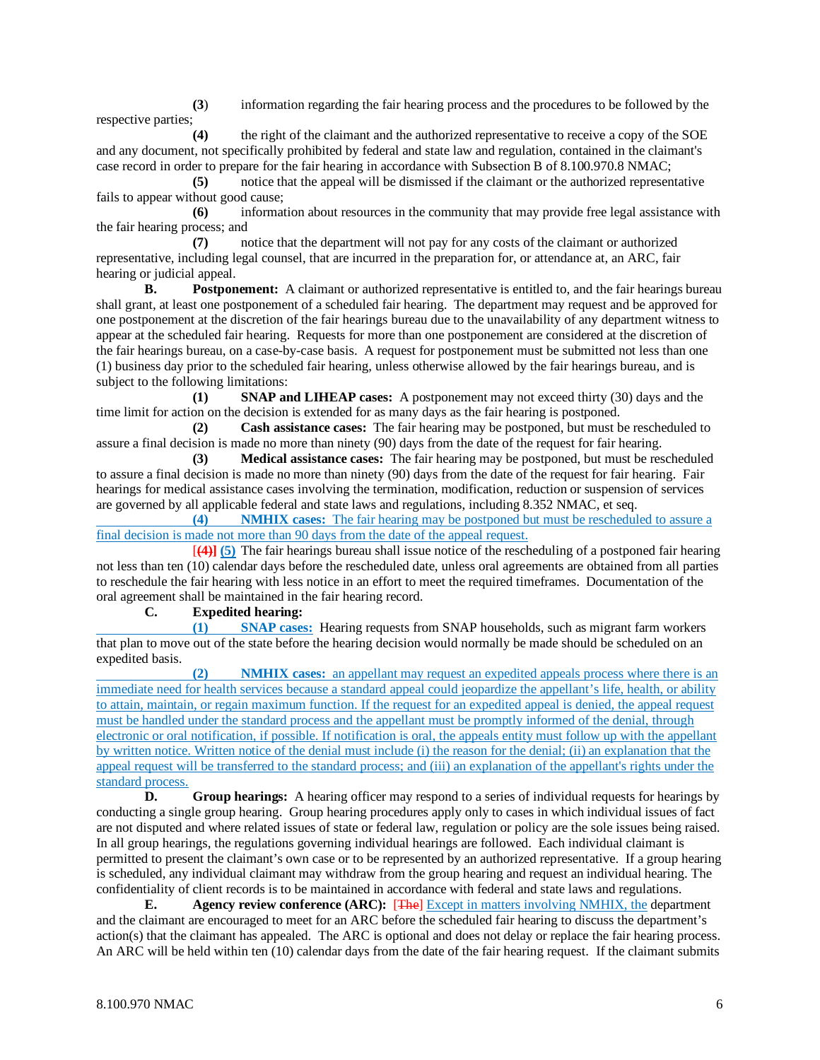**(3**) information regarding the fair hearing process and the procedures to be followed by the respective parties;

**(4)** the right of the claimant and the authorized representative to receive a copy of the SOE and any document, not specifically prohibited by federal and state law and regulation, contained in the claimant's case record in order to prepare for the fair hearing in accordance with Subsection B of 8.100.970.8 NMAC;

**(5)** notice that the appeal will be dismissed if the claimant or the authorized representative fails to appear without good cause;

**(6)** information about resources in the community that may provide free legal assistance with the fair hearing process; and

**(7)** notice that the department will not pay for any costs of the claimant or authorized representative, including legal counsel, that are incurred in the preparation for, or attendance at, an ARC, fair hearing or judicial appeal.

**B. Postponement:** A claimant or authorized representative is entitled to, and the fair hearings bureau shall grant, at least one postponement of a scheduled fair hearing. The department may request and be approved for one postponement at the discretion of the fair hearings bureau due to the unavailability of any department witness to appear at the scheduled fair hearing. Requests for more than one postponement are considered at the discretion of the fair hearings bureau, on a case-by-case basis. A request for postponement must be submitted not less than one (1) business day prior to the scheduled fair hearing, unless otherwise allowed by the fair hearings bureau, and is subject to the following limitations:

**(1) SNAP and LIHEAP cases:** A postponement may not exceed thirty (30) days and the time limit for action on the decision is extended for as many days as the fair hearing is postponed.

**(2) Cash assistance cases:** The fair hearing may be postponed, but must be rescheduled to assure a final decision is made no more than ninety (90) days from the date of the request for fair hearing.

**(3) Medical assistance cases:** The fair hearing may be postponed, but must be rescheduled to assure a final decision is made no more than ninety (90) days from the date of the request for fair hearing. Fair hearings for medical assistance cases involving the termination, modification, reduction or suspension of services are governed by all applicable federal and state laws and regulations, including 8.352 NMAC, et seq.

**(4) NMHIX cases:** The fair hearing may be postponed but must be rescheduled to assure a final decision is made not more than 90 days from the date of the appeal request.

[**(4)] (5)** The fair hearings bureau shall issue notice of the rescheduling of a postponed fair hearing not less than ten (10) calendar days before the rescheduled date, unless oral agreements are obtained from all parties to reschedule the fair hearing with less notice in an effort to meet the required timeframes. Documentation of the oral agreement shall be maintained in the fair hearing record.

**C. Expedited hearing:**

**(1) SNAP cases:** Hearing requests from SNAP households, such as migrant farm workers that plan to move out of the state before the hearing decision would normally be made should be scheduled on an expedited basis.

**NMHIX cases:** an appellant may request an expedited appeals process where there is an immediate need for health services because a standard appeal could jeopardize the appellant's life, health, or ability to attain, maintain, or regain maximum function. If the request for an expedited appeal is denied, the appeal request must be handled under the standard process and the appellant must be promptly informed of the denial, through electronic or oral notification, if possible. If notification is oral, the appeals entity must follow up with the appellant by written notice. Written notice of the denial must include (i) the reason for the denial; (ii) an explanation that the appeal request will be transferred to the standard process; and (iii) an explanation of the appellant's rights under the standard process.

**D. Group hearings:** A hearing officer may respond to a series of individual requests for hearings by conducting a single group hearing. Group hearing procedures apply only to cases in which individual issues of fact are not disputed and where related issues of state or federal law, regulation or policy are the sole issues being raised. In all group hearings, the regulations governing individual hearings are followed. Each individual claimant is permitted to present the claimant's own case or to be represented by an authorized representative. If a group hearing is scheduled, any individual claimant may withdraw from the group hearing and request an individual hearing. The confidentiality of client records is to be maintained in accordance with federal and state laws and regulations.

**E. Agency review conference (ARC):** [The] Except in matters involving NMHIX, the department and the claimant are encouraged to meet for an ARC before the scheduled fair hearing to discuss the department's action(s) that the claimant has appealed. The ARC is optional and does not delay or replace the fair hearing process. An ARC will be held within ten (10) calendar days from the date of the fair hearing request. If the claimant submits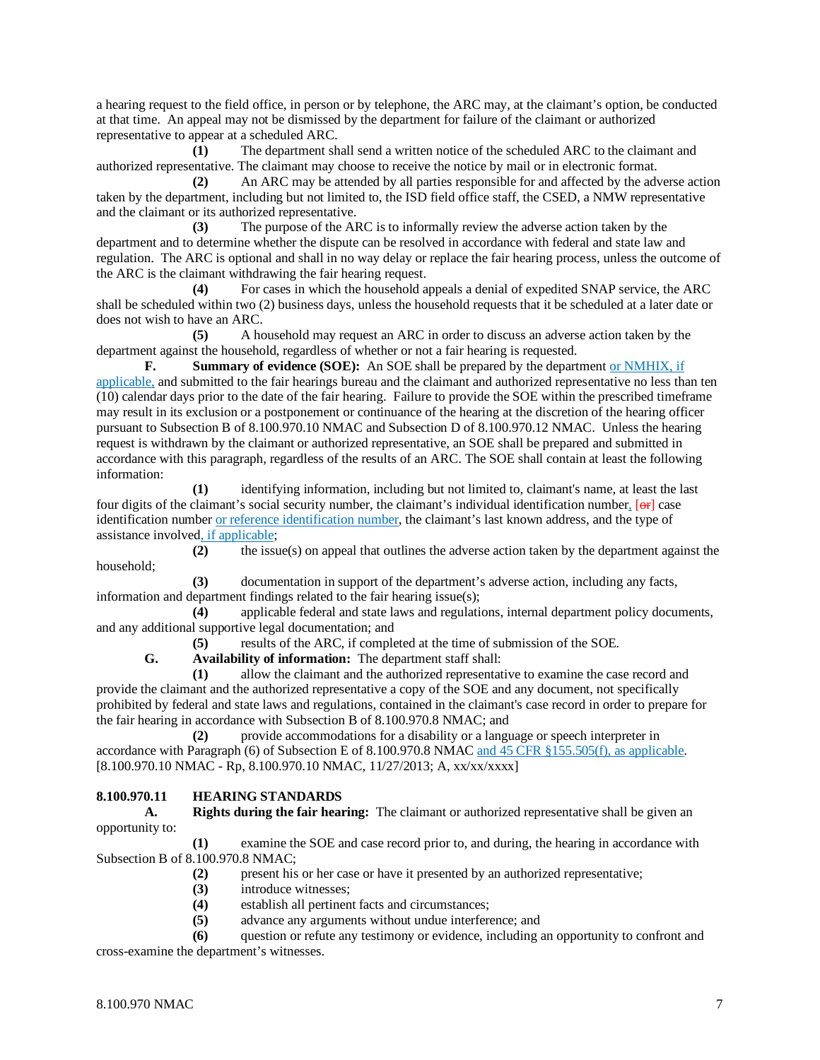a hearing request to the field office, in person or by telephone, the ARC may, at the claimant's option, be conducted at that time. An appeal may not be dismissed by the department for failure of the claimant or authorized representative to appear at a scheduled ARC.

**(1)** The department shall send a written notice of the scheduled ARC to the claimant and authorized representative. The claimant may choose to receive the notice by mail or in electronic format.

**(2)** An ARC may be attended by all parties responsible for and affected by the adverse action taken by the department, including but not limited to, the ISD field office staff, the CSED, a NMW representative and the claimant or its authorized representative.

**(3)** The purpose of the ARC is to informally review the adverse action taken by the department and to determine whether the dispute can be resolved in accordance with federal and state law and regulation. The ARC is optional and shall in no way delay or replace the fair hearing process, unless the outcome of the ARC is the claimant withdrawing the fair hearing request.

**(4)** For cases in which the household appeals a denial of expedited SNAP service, the ARC shall be scheduled within two (2) business days, unless the household requests that it be scheduled at a later date or does not wish to have an ARC.

**(5)** A household may request an ARC in order to discuss an adverse action taken by the department against the household, regardless of whether or not a fair hearing is requested.

**F. Summary of evidence (SOE):** An SOE shall be prepared by the department or NMHIX, if applicable, and submitted to the fair hearings bureau and the claimant and authorized representative no less than ten (10) calendar days prior to the date of the fair hearing. Failure to provide the SOE within the prescribed timeframe may result in its exclusion or a postponement or continuance of the hearing at the discretion of the hearing officer pursuant to Subsection B of 8.100.970.10 NMAC and Subsection D of 8.100.970.12 NMAC. Unless the hearing request is withdrawn by the claimant or authorized representative, an SOE shall be prepared and submitted in accordance with this paragraph, regardless of the results of an ARC. The SOE shall contain at least the following information:

**(1)** identifying information, including but not limited to, claimant's name, at least the last four digits of the claimant's social security number, the claimant's individual identification number, [or] case identification number or reference identification number, the claimant's last known address, and the type of assistance involved, if applicable;

**(2)** the issue(s) on appeal that outlines the adverse action taken by the department against the household;

**(3)** documentation in support of the department's adverse action, including any facts, information and department findings related to the fair hearing issue(s);

**(4)** applicable federal and state laws and regulations, internal department policy documents, and any additional supportive legal documentation; and

**(5)** results of the ARC, if completed at the time of submission of the SOE.

**G. Availability of information:** The department staff shall:

**(1)** allow the claimant and the authorized representative to examine the case record and provide the claimant and the authorized representative a copy of the SOE and any document, not specifically prohibited by federal and state laws and regulations, contained in the claimant's case record in order to prepare for the fair hearing in accordance with Subsection B of 8.100.970.8 NMAC; and

**(2)** provide accommodations for a disability or a language or speech interpreter in accordance with Paragraph (6) of Subsection E of 8.100.970.8 NMAC and 45 CFR §155.505(f), as applicable. [8.100.970.10 NMAC - Rp, 8.100.970.10 NMAC, 11/27/2013; A, xx/xx/xxxx]

### **8.100.970.11 HEARING STANDARDS**

**A. Rights during the fair hearing:** The claimant or authorized representative shall be given an opportunity to:

**(1)** examine the SOE and case record prior to, and during, the hearing in accordance with Subsection B of 8.100.970.8 NMAC;

- **(2)** present his or her case or have it presented by an authorized representative;
- **(3)** introduce witnesses;
- **(4)** establish all pertinent facts and circumstances;
- **(5)** advance any arguments without undue interference; and

**(6)** question or refute any testimony or evidence, including an opportunity to confront and cross-examine the department's witnesses.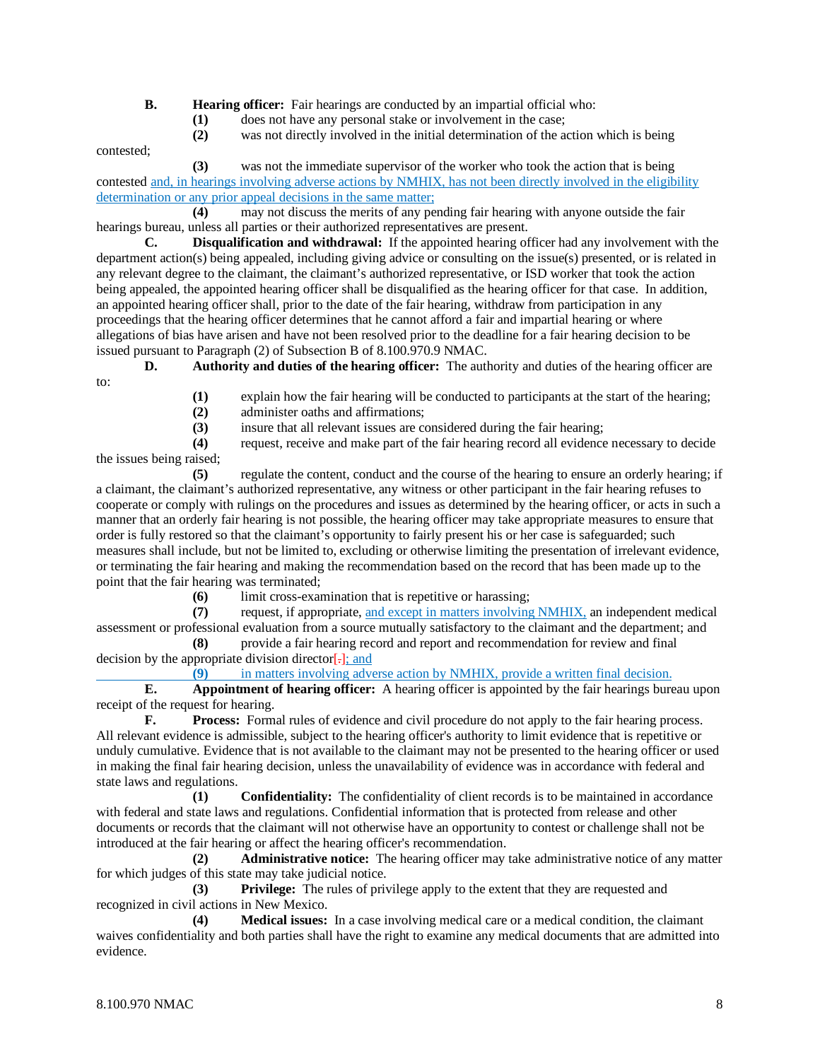**B. Hearing officer:** Fair hearings are conducted by an impartial official who:

- **(1)** does not have any personal stake or involvement in the case;
- **(2)** was not directly involved in the initial determination of the action which is being

contested;

**(3)** was not the immediate supervisor of the worker who took the action that is being contested and, in hearings involving adverse actions by NMHIX, has not been directly involved in the eligibility determination or any prior appeal decisions in the same matter;

**(4)** may not discuss the merits of any pending fair hearing with anyone outside the fair hearings bureau, unless all parties or their authorized representatives are present.

**C. Disqualification and withdrawal:** If the appointed hearing officer had any involvement with the department action(s) being appealed, including giving advice or consulting on the issue(s) presented, or is related in any relevant degree to the claimant, the claimant's authorized representative, or ISD worker that took the action being appealed, the appointed hearing officer shall be disqualified as the hearing officer for that case. In addition, an appointed hearing officer shall, prior to the date of the fair hearing, withdraw from participation in any proceedings that the hearing officer determines that he cannot afford a fair and impartial hearing or where allegations of bias have arisen and have not been resolved prior to the deadline for a fair hearing decision to be issued pursuant to Paragraph (2) of Subsection B of 8.100.970.9 NMAC.

**D. Authority and duties of the hearing officer:** The authority and duties of the hearing officer are to:

- (1) explain how the fair hearing will be conducted to participants at the start of the hearing;<br>(2) administer oaths and affirmations;
- **(2)** administer oaths and affirmations;
- **(3)** insure that all relevant issues are considered during the fair hearing;

**(4)** request, receive and make part of the fair hearing record all evidence necessary to decide the issues being raised;

**(5)** regulate the content, conduct and the course of the hearing to ensure an orderly hearing; if a claimant, the claimant's authorized representative, any witness or other participant in the fair hearing refuses to cooperate or comply with rulings on the procedures and issues as determined by the hearing officer, or acts in such a manner that an orderly fair hearing is not possible, the hearing officer may take appropriate measures to ensure that order is fully restored so that the claimant's opportunity to fairly present his or her case is safeguarded; such measures shall include, but not be limited to, excluding or otherwise limiting the presentation of irrelevant evidence, or terminating the fair hearing and making the recommendation based on the record that has been made up to the point that the fair hearing was terminated;

**(6)** limit cross-examination that is repetitive or harassing;<br>(7) request, if appropriate, and except in matters involving

**(7)** request, if appropriate, and except in matters involving NMHIX, an independent medical assessment or professional evaluation from a source mutually satisfactory to the claimant and the department; and

**(8)** provide a fair hearing record and report and recommendation for review and final decision by the appropriate division director $\left[\frac{1}{n}\right]$ ; and

**(9)** in matters involving adverse action by NMHIX, provide a written final decision.

**E. Appointment of hearing officer:** A hearing officer is appointed by the fair hearings bureau upon receipt of the request for hearing.

**F. Process:** Formal rules of evidence and civil procedure do not apply to the fair hearing process. All relevant evidence is admissible, subject to the hearing officer's authority to limit evidence that is repetitive or unduly cumulative. Evidence that is not available to the claimant may not be presented to the hearing officer or used in making the final fair hearing decision, unless the unavailability of evidence was in accordance with federal and state laws and regulations.

**(1) Confidentiality:** The confidentiality of client records is to be maintained in accordance with federal and state laws and regulations. Confidential information that is protected from release and other documents or records that the claimant will not otherwise have an opportunity to contest or challenge shall not be introduced at the fair hearing or affect the hearing officer's recommendation.

**(2) Administrative notice:** The hearing officer may take administrative notice of any matter for which judges of this state may take judicial notice.

**(3) Privilege:** The rules of privilege apply to the extent that they are requested and recognized in civil actions in New Mexico.

**(4) Medical issues:** In a case involving medical care or a medical condition, the claimant waives confidentiality and both parties shall have the right to examine any medical documents that are admitted into evidence.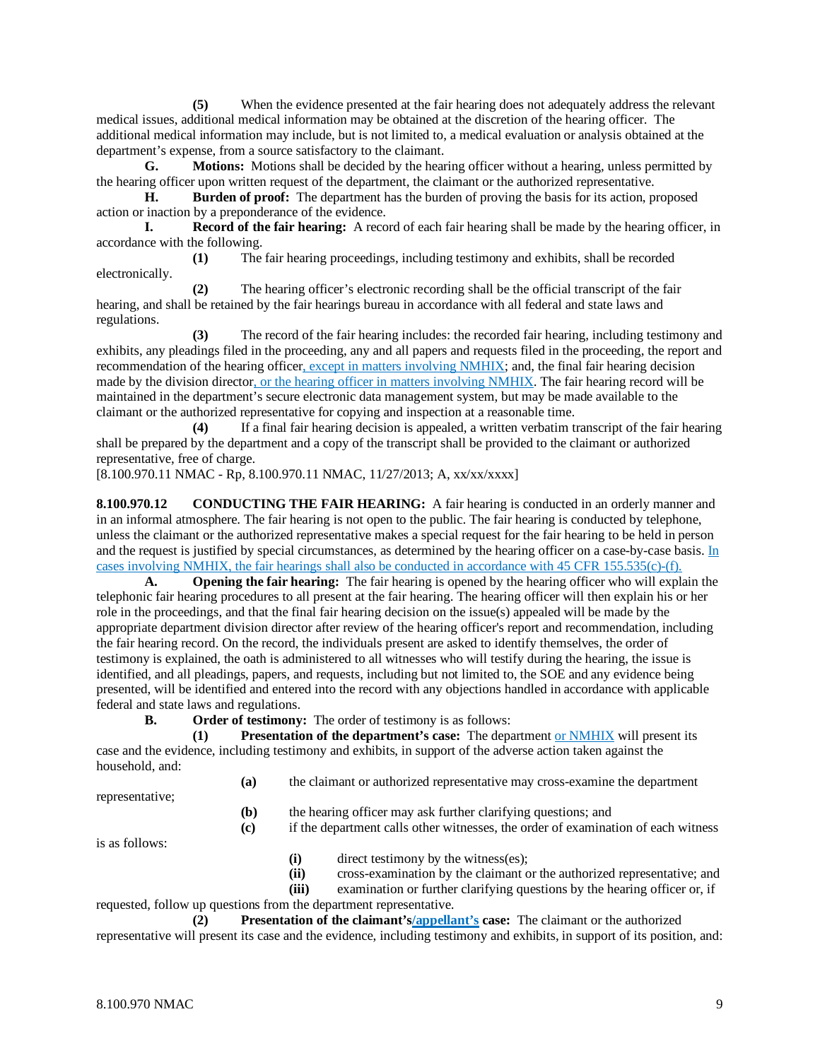**(5)** When the evidence presented at the fair hearing does not adequately address the relevant medical issues, additional medical information may be obtained at the discretion of the hearing officer. The additional medical information may include, but is not limited to, a medical evaluation or analysis obtained at the department's expense, from a source satisfactory to the claimant.

**G. Motions:** Motions shall be decided by the hearing officer without a hearing, unless permitted by the hearing officer upon written request of the department, the claimant or the authorized representative.

**H. Burden of proof:** The department has the burden of proving the basis for its action, proposed action or inaction by a preponderance of the evidence.<br> **L.** Record of the fair hearing: A record

**Record of the fair hearing:** A record of each fair hearing shall be made by the hearing officer, in accordance with the following.

**(1)** The fair hearing proceedings, including testimony and exhibits, shall be recorded electronically.

**(2)** The hearing officer's electronic recording shall be the official transcript of the fair hearing, and shall be retained by the fair hearings bureau in accordance with all federal and state laws and regulations.

**(3)** The record of the fair hearing includes: the recorded fair hearing, including testimony and exhibits, any pleadings filed in the proceeding, any and all papers and requests filed in the proceeding, the report and recommendation of the hearing officer, except in matters involving NMHIX; and, the final fair hearing decision made by the division director, or the hearing officer in matters involving NMHIX. The fair hearing record will be maintained in the department's secure electronic data management system, but may be made available to the claimant or the authorized representative for copying and inspection at a reasonable time.

**(4)** If a final fair hearing decision is appealed, a written verbatim transcript of the fair hearing shall be prepared by the department and a copy of the transcript shall be provided to the claimant or authorized representative, free of charge.

[8.100.970.11 NMAC - Rp, 8.100.970.11 NMAC, 11/27/2013; A, xx/xx/xxxx]

**8.100.970.12 CONDUCTING THE FAIR HEARING:** A fair hearing is conducted in an orderly manner and in an informal atmosphere. The fair hearing is not open to the public. The fair hearing is conducted by telephone, unless the claimant or the authorized representative makes a special request for the fair hearing to be held in person and the request is justified by special circumstances, as determined by the hearing officer on a case-by-case basis. In cases involving NMHIX, the fair hearings shall also be conducted in accordance with 45 CFR 155.535(c)-(f).

**A. Opening the fair hearing:** The fair hearing is opened by the hearing officer who will explain the telephonic fair hearing procedures to all present at the fair hearing. The hearing officer will then explain his or her role in the proceedings, and that the final fair hearing decision on the issue(s) appealed will be made by the appropriate department division director after review of the hearing officer's report and recommendation, including the fair hearing record. On the record, the individuals present are asked to identify themselves, the order of testimony is explained, the oath is administered to all witnesses who will testify during the hearing, the issue is identified, and all pleadings, papers, and requests, including but not limited to, the SOE and any evidence being presented, will be identified and entered into the record with any objections handled in accordance with applicable federal and state laws and regulations.

**B. Order of testimony:** The order of testimony is as follows:

**(1) Presentation of the department's case:** The department or NMHIX will present its case and the evidence, including testimony and exhibits, in support of the adverse action taken against the household, and:

**(a)** the claimant or authorized representative may cross-examine the department

representative;

**(b)** the hearing officer may ask further clarifying questions; and

**(c)** if the department calls other witnesses, the order of examination of each witness

is as follows:

- **(i)** direct testimony by the witness(es);
- **(ii)** cross-examination by the claimant or the authorized representative; and
- **(iii)** examination or further clarifying questions by the hearing officer or, if

requested, follow up questions from the department representative.

**(2) Presentation of the claimant's/appellant's case:** The claimant or the authorized representative will present its case and the evidence, including testimony and exhibits, in support of its position, and: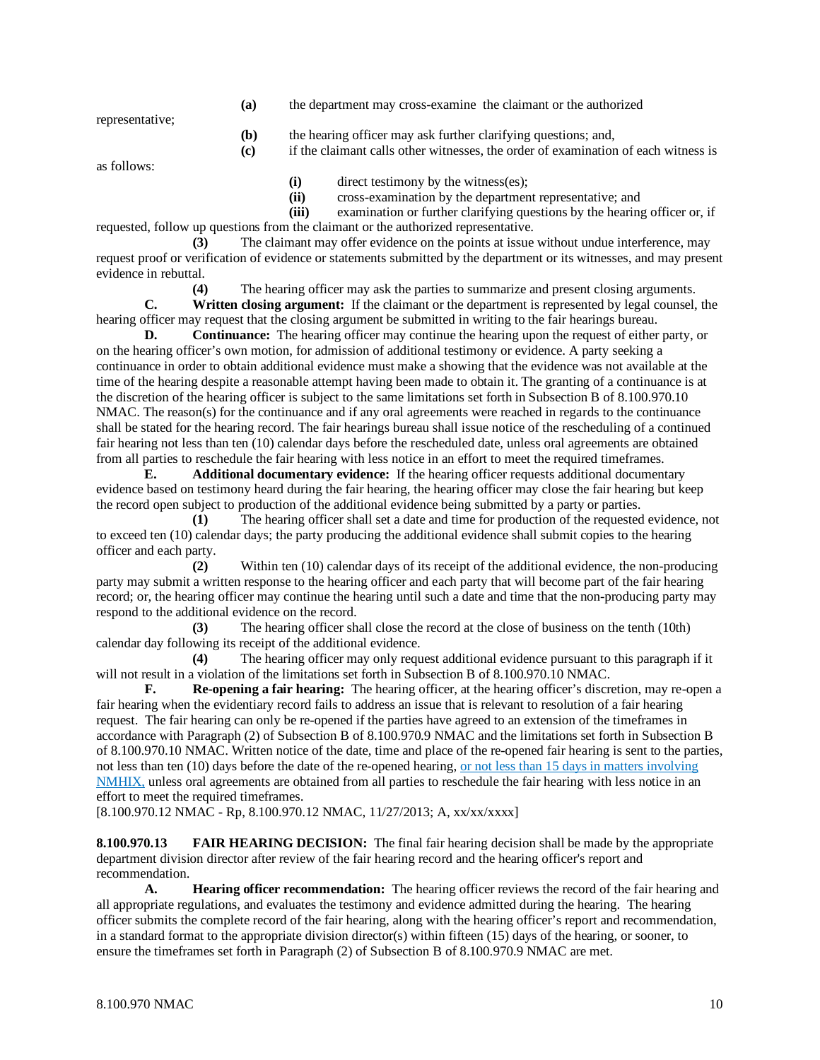**(a)** the department may cross-examine the claimant or the authorized

representative;

- **(b)** the hearing officer may ask further clarifying questions; and,
- **(c)** if the claimant calls other witnesses, the order of examination of each witness is

as follows:

**(i)** direct testimony by the witness(es);

**(ii)** cross-examination by the department representative; and

**(iii)** examination or further clarifying questions by the hearing officer or, if requested, follow up questions from the claimant or the authorized representative.

**(3)** The claimant may offer evidence on the points at issue without undue interference, may request proof or verification of evidence or statements submitted by the department or its witnesses, and may present evidence in rebuttal.

**(4)** The hearing officer may ask the parties to summarize and present closing arguments.

**C. Written closing argument:** If the claimant or the department is represented by legal counsel, the hearing officer may request that the closing argument be submitted in writing to the fair hearings bureau.

**D. Continuance:** The hearing officer may continue the hearing upon the request of either party, or on the hearing officer's own motion, for admission of additional testimony or evidence. A party seeking a continuance in order to obtain additional evidence must make a showing that the evidence was not available at the time of the hearing despite a reasonable attempt having been made to obtain it. The granting of a continuance is at the discretion of the hearing officer is subject to the same limitations set forth in Subsection B of 8.100.970.10 NMAC. The reason(s) for the continuance and if any oral agreements were reached in regards to the continuance shall be stated for the hearing record. The fair hearings bureau shall issue notice of the rescheduling of a continued fair hearing not less than ten (10) calendar days before the rescheduled date, unless oral agreements are obtained from all parties to reschedule the fair hearing with less notice in an effort to meet the required timeframes.

**E. Additional documentary evidence:** If the hearing officer requests additional documentary evidence based on testimony heard during the fair hearing, the hearing officer may close the fair hearing but keep the record open subject to production of the additional evidence being submitted by a party or parties.

**(1)** The hearing officer shall set a date and time for production of the requested evidence, not to exceed ten (10) calendar days; the party producing the additional evidence shall submit copies to the hearing officer and each party.

**(2)** Within ten (10) calendar days of its receipt of the additional evidence, the non-producing party may submit a written response to the hearing officer and each party that will become part of the fair hearing record; or, the hearing officer may continue the hearing until such a date and time that the non-producing party may respond to the additional evidence on the record.

**(3)** The hearing officer shall close the record at the close of business on the tenth (10th) calendar day following its receipt of the additional evidence.

**(4)** The hearing officer may only request additional evidence pursuant to this paragraph if it will not result in a violation of the limitations set forth in Subsection B of 8.100.970.10 NMAC.

**F. Re-opening a fair hearing:** The hearing officer, at the hearing officer's discretion, may re-open a fair hearing when the evidentiary record fails to address an issue that is relevant to resolution of a fair hearing request. The fair hearing can only be re-opened if the parties have agreed to an extension of the timeframes in accordance with Paragraph (2) of Subsection B of 8.100.970.9 NMAC and the limitations set forth in Subsection B of 8.100.970.10 NMAC. Written notice of the date, time and place of the re-opened fair hearing is sent to the parties, not less than ten (10) days before the date of the re-opened hearing, or not less than 15 days in matters involving NMHIX, unless oral agreements are obtained from all parties to reschedule the fair hearing with less notice in an effort to meet the required timeframes.

[8.100.970.12 NMAC - Rp, 8.100.970.12 NMAC, 11/27/2013; A, xx/xx/xxxx]

**8.100.970.13 FAIR HEARING DECISION:** The final fair hearing decision shall be made by the appropriate department division director after review of the fair hearing record and the hearing officer's report and recommendation.

**A. Hearing officer recommendation:** The hearing officer reviews the record of the fair hearing and all appropriate regulations, and evaluates the testimony and evidence admitted during the hearing. The hearing officer submits the complete record of the fair hearing, along with the hearing officer's report and recommendation, in a standard format to the appropriate division director(s) within fifteen (15) days of the hearing, or sooner, to ensure the timeframes set forth in Paragraph (2) of Subsection B of 8.100.970.9 NMAC are met.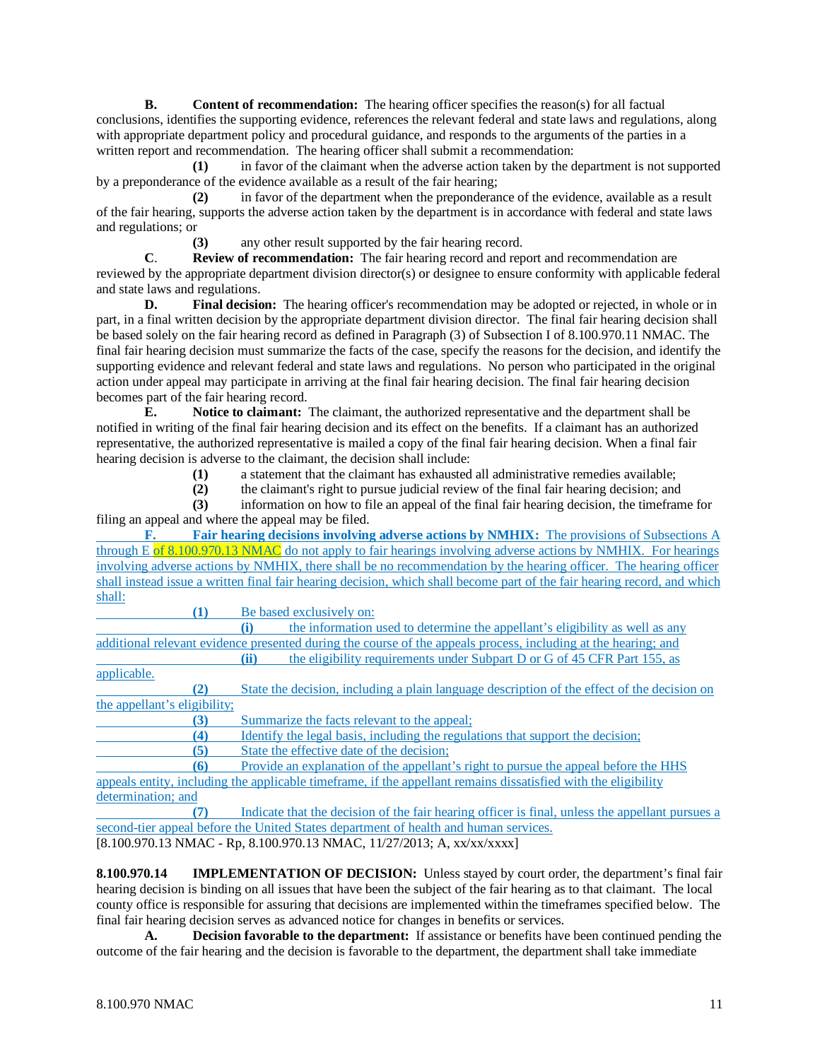**B. Content of recommendation:** The hearing officer specifies the reason(s) for all factual conclusions, identifies the supporting evidence, references the relevant federal and state laws and regulations, along with appropriate department policy and procedural guidance, and responds to the arguments of the parties in a written report and recommendation. The hearing officer shall submit a recommendation:

**(1)** in favor of the claimant when the adverse action taken by the department is not supported by a preponderance of the evidence available as a result of the fair hearing;

**(2)** in favor of the department when the preponderance of the evidence, available as a result of the fair hearing, supports the adverse action taken by the department is in accordance with federal and state laws and regulations; or

**(3)** any other result supported by the fair hearing record.

**C**. **Review of recommendation:** The fair hearing record and report and recommendation are reviewed by the appropriate department division director(s) or designee to ensure conformity with applicable federal and state laws and regulations.

**D. Final decision:** The hearing officer's recommendation may be adopted or rejected, in whole or in part, in a final written decision by the appropriate department division director. The final fair hearing decision shall be based solely on the fair hearing record as defined in Paragraph (3) of Subsection I of 8.100.970.11 NMAC. The final fair hearing decision must summarize the facts of the case, specify the reasons for the decision, and identify the supporting evidence and relevant federal and state laws and regulations. No person who participated in the original action under appeal may participate in arriving at the final fair hearing decision. The final fair hearing decision becomes part of the fair hearing record.

**E. Notice to claimant:** The claimant, the authorized representative and the department shall be notified in writing of the final fair hearing decision and its effect on the benefits. If a claimant has an authorized representative, the authorized representative is mailed a copy of the final fair hearing decision. When a final fair hearing decision is adverse to the claimant, the decision shall include:

**(1)** a statement that the claimant has exhausted all administrative remedies available;

**(2)** the claimant's right to pursue judicial review of the final fair hearing decision; and

**(3)** information on how to file an appeal of the final fair hearing decision, the timeframe for filing an appeal and where the appeal may be filed.

**F. Fair hearing decisions involving adverse actions by NMHIX:** The provisions of Subsections A through E of 8.100.970.13 NMAC do not apply to fair hearings involving adverse actions by NMHIX. For hearings involving adverse actions by NMHIX, there shall be no recommendation by the hearing officer. The hearing officer shall instead issue a written final fair hearing decision, which shall become part of the fair hearing record, and which shall:

**(1)** Be based exclusively on:

**(i)** the information used to determine the appellant's eligibility as well as any additional relevant evidence presented during the course of the appeals process, including at the hearing; and **(ii)** the eligibility requirements under Subpart D or G of 45 CFR Part 155, as

applicable.

**(2)** State the decision, including a plain language description of the effect of the decision on the appellant's eligibility;

**(3)** Summarize the facts relevant to the appeal;<br>**(4)** Identify the legal basis, including the regularity

**(4)** Identify the legal basis, including the regulations that support the decision; State the effective date of the decision;

**(6)** Provide an explanation of the appellant's right to pursue the appeal before the HHS appeals entity, including the applicable timeframe, if the appellant remains dissatisfied with the eligibility determination; and

**(7)** Indicate that the decision of the fair hearing officer is final, unless the appellant pursues a second-tier appeal before the United States department of health and human services.  $[8.100.970.13 \text{ NMAC} - \text{Rp}, 8.100.970.13 \text{ NMAC}, 11/27/2013; \text{A}, \text{xx}/\text{xx}/\text{xx} \text{X}$ 

**8.100.970.14 IMPLEMENTATION OF DECISION:** Unless stayed by court order, the department's final fair hearing decision is binding on all issues that have been the subject of the fair hearing as to that claimant. The local county office is responsible for assuring that decisions are implemented within the timeframes specified below. The final fair hearing decision serves as advanced notice for changes in benefits or services.

**A. Decision favorable to the department:** If assistance or benefits have been continued pending the outcome of the fair hearing and the decision is favorable to the department, the department shall take immediate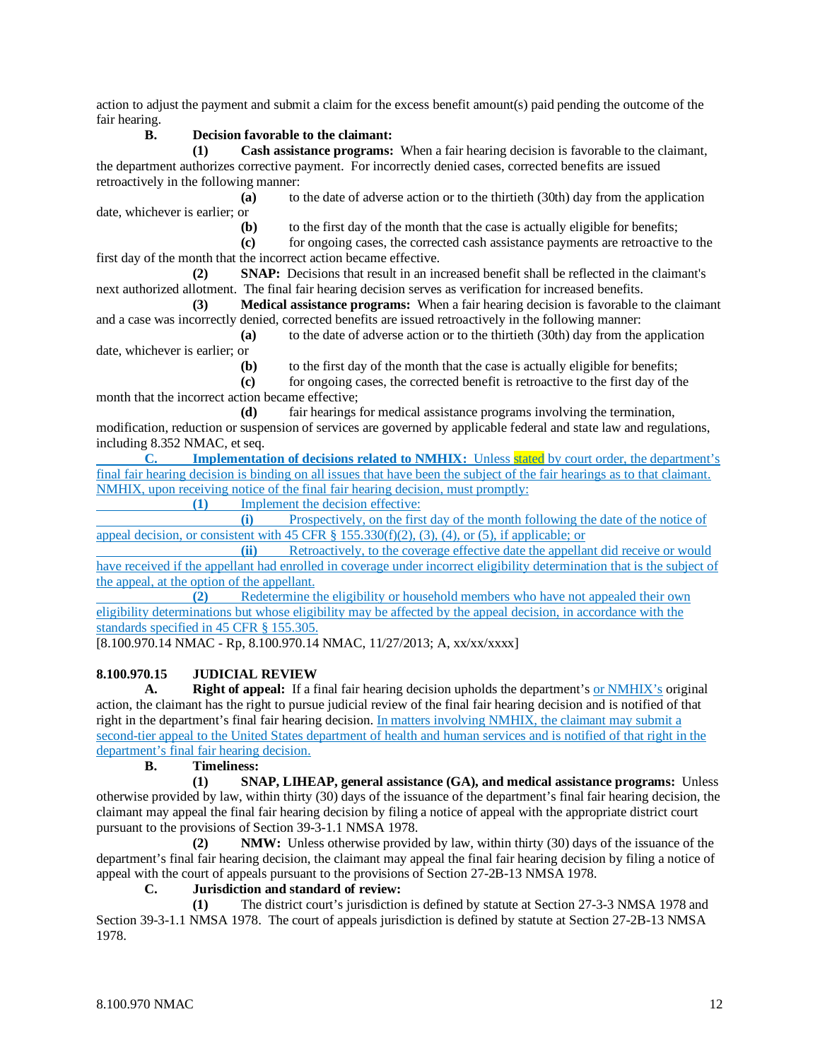action to adjust the payment and submit a claim for the excess benefit amount(s) paid pending the outcome of the fair hearing.

## **B. Decision favorable to the claimant:**

**(1) Cash assistance programs:** When a fair hearing decision is favorable to the claimant, the department authorizes corrective payment. For incorrectly denied cases, corrected benefits are issued retroactively in the following manner:

**(a)** to the date of adverse action or to the thirtieth (30th) day from the application date, whichever is earlier; or<br>(b)

**(b)** to the first day of the month that the case is actually eligible for benefits;

**(c)** for ongoing cases, the corrected cash assistance payments are retroactive to the first day of the month that the incorrect action became effective.

**(2) SNAP:** Decisions that result in an increased benefit shall be reflected in the claimant's next authorized allotment. The final fair hearing decision serves as verification for increased benefits.

**(3) Medical assistance programs:** When a fair hearing decision is favorable to the claimant and a case was incorrectly denied, corrected benefits are issued retroactively in the following manner:

**(a)** to the date of adverse action or to the thirtieth (30th) day from the application date, whichever is earlier; or

**(b)** to the first day of the month that the case is actually eligible for benefits;

**(c)** for ongoing cases, the corrected benefit is retroactive to the first day of the month that the incorrect action became effective;

**(d)** fair hearings for medical assistance programs involving the termination, modification, reduction or suspension of services are governed by applicable federal and state law and regulations, including 8.352 NMAC, et seq.

**C. Implementation of decisions related to NMHIX:** Unless stated by court order, the department's final fair hearing decision is binding on all issues that have been the subject of the fair hearings as to that claimant. NMHIX, upon receiving notice of the final fair hearing decision, must promptly:

**(1)** Implement the decision effective:

**(i)** Prospectively, on the first day of the month following the date of the notice of appeal decision, or consistent with 45 CFR  $\S$  155.330(f)(2), (3), (4), or (5), if applicable; or

**(ii)** Retroactively, to the coverage effective date the appellant did receive or would have received if the appellant had enrolled in coverage under incorrect eligibility determination that is the subject of the appeal, at the option of the appellant.

**(2)** Redetermine the eligibility or household members who have not appealed their own eligibility determinations but whose eligibility may be affected by the appeal decision, in accordance with the standards specified in 45 CFR § 155.305.

[8.100.970.14 NMAC - Rp, 8.100.970.14 NMAC, 11/27/2013; A, xx/xx/xxxx]

# **8.100.970.15 JUDICIAL REVIEW**

**A. Right of appeal:** If a final fair hearing decision upholds the department's or NMHIX's original action, the claimant has the right to pursue judicial review of the final fair hearing decision and is notified of that right in the department's final fair hearing decision. In matters involving NMHIX, the claimant may submit a second-tier appeal to the United States department of health and human services and is notified of that right in the department's final fair hearing decision.

#### **B. Timeliness:**

**(1) SNAP, LIHEAP, general assistance (GA), and medical assistance programs:** Unless otherwise provided by law, within thirty (30) days of the issuance of the department's final fair hearing decision, the claimant may appeal the final fair hearing decision by filing a notice of appeal with the appropriate district court pursuant to the provisions of Section 39-3-1.1 NMSA 1978.

**(2) NMW:** Unless otherwise provided by law, within thirty (30) days of the issuance of the department's final fair hearing decision, the claimant may appeal the final fair hearing decision by filing a notice of appeal with the court of appeals pursuant to the provisions of Section 27-2B-13 NMSA 1978.

# **C. Jurisdiction and standard of review:**

**(1)** The district court's jurisdiction is defined by statute at Section 27-3-3 NMSA 1978 and Section 39-3-1.1 NMSA 1978. The court of appeals jurisdiction is defined by statute at Section 27-2B-13 NMSA 1978.